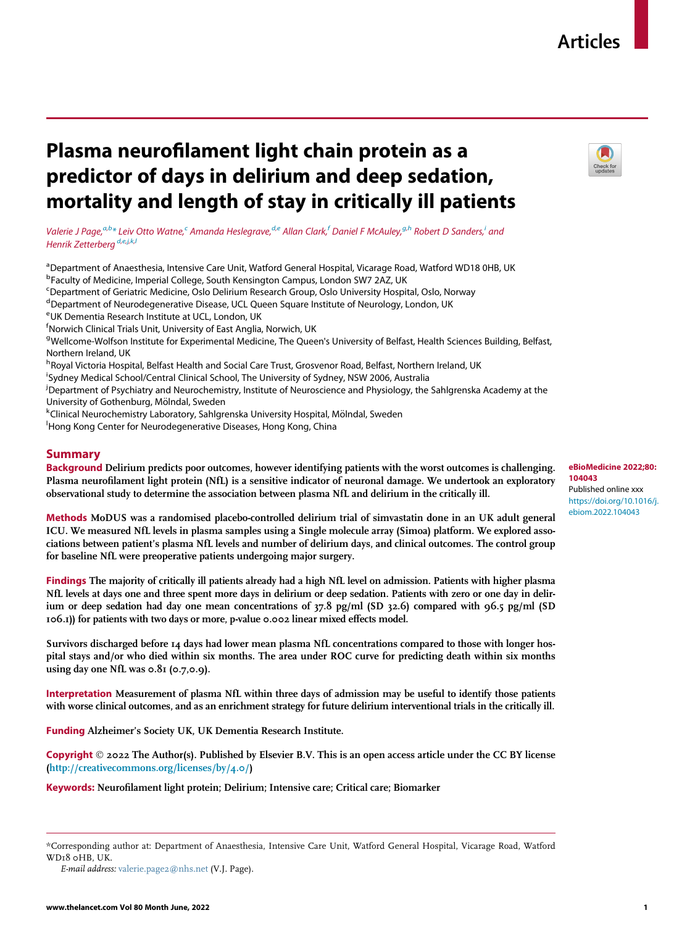# Plasma neurofilament light chain protein as a predictor of days in delirium and deep sedation, mortality and length of stay in critically ill patients

Valerie J Page,<sup>[a,](#page-0-0)[b](#page-0-1)</sup>[\\*](#page-0-2) Leiv Otto Watne,<sup>c</sup> Aman[d](#page-0-4)a H[e](#page-0-5)slegrave,<sup>d,e</sup> Allan Clark,<sup>[f](#page-0-6)</sup> Daniel F McAuley,<sup>[g](#page-0-7),[h](#page-0-8)</sup> Robert D Sanders,<sup>[i](#page-0-9)</sup> and Henrik Zetterbera<sup>[d,](#page-0-4)[e,](#page-0-5)[j](#page-0-10),[k,](#page-0-11)[l](#page-0-12)</sup>

<span id="page-0-1"></span><span id="page-0-0"></span>aDepartment of Anaesthesia, Intensive Care Unit, Watford General Hospital, Vicarage Road, Watford WD18 0HB, UK <sup>b</sup>Faculty of Medicine, Imperial College, South Kensington Campus, London SW7 2AZ, UK

<span id="page-0-3"></span><sup>c</sup>Department of Geriatric Medicine, Oslo Delirium Research Group, Oslo University Hospital, Oslo, Norway

<span id="page-0-4"></span><sup>d</sup>Department of Neurodegenerative Disease, UCL Queen Square Institute of Neurology, London, UK

<span id="page-0-5"></span>e UK Dementia Research Institute at UCL, London, UK

<span id="page-0-6"></span> $^{\mathsf{f}}$ Norwich Clinical Trials Unit, University of East Anglia, Norwich, UK

<span id="page-0-7"></span><sup>g</sup>Wellcome-Wolfson Institute for Experimental Medicine, The Queen's University of Belfast, Health Sciences Building, Belfast, Northern Ireland, UK

<span id="page-0-8"></span><sup>h</sup>Royal Victoria Hospital, Belfast Health and Social Care Trust, Grosvenor Road, Belfast, Northern Ireland, UK

<span id="page-0-9"></span>i Sydney Medical School/Central Clinical School, The University of Sydney, NSW 2006, Australia

<span id="page-0-10"></span>j Department of Psychiatry and Neurochemistry, Institute of Neuroscience and Physiology, the Sahlgrenska Academy at the University of Gothenburg, Mölndal, Sweden

<span id="page-0-11"></span>kClinical Neurochemistry Laboratory, Sahlgrenska University Hospital, Mölndal, Sweden

<span id="page-0-12"></span><sup>1</sup>Hong Kong Center for Neurodegenerative Diseases, Hong Kong, China

## Summary

Background Delirium predicts poor outcomes, however identifying patients with the worst outcomes is challenging. Plasma neurofilament light protein (NfL) is a sensitive indicator of neuronal damage. We undertook an exploratory observational study to determine the association between plasma NfL and delirium in the critically ill.

Methods MoDUS was a randomised placebo-controlled delirium trial of simvastatin done in an UK adult general ICU. We measured NfL levels in plasma samples using a Single molecule array (Simoa) platform. We explored associations between patient's plasma NfL levels and number of delirium days, and clinical outcomes. The control group for baseline NfL were preoperative patients undergoing major surgery.

Findings The majority of critically ill patients already had a high NfL level on admission. Patients with higher plasma NfL levels at days one and three spent more days in delirium or deep sedation. Patients with zero or one day in delirium or deep sedation had day one mean concentrations of 37.8 pg/ml (SD 32.6) compared with 96.5 pg/ml (SD 106.1)) for patients with two days or more, p-value 0.002 linear mixed effects model.

Survivors discharged before 14 days had lower mean plasma NfL concentrations compared to those with longer hospital stays and/or who died within six months. The area under ROC curve for predicting death within six months using day one NfL was  $0.81$  (0.7,0.9).

Interpretation Measurement of plasma NfL within three days of admission may be useful to identify those patients with worse clinical outcomes, and as an enrichment strategy for future delirium interventional trials in the critically ill.

Funding Alzheimer's Society UK, UK Dementia Research Institute.

Copyright  $\odot$  2022 The Author(s). Published by Elsevier B.V. This is an open access article under the CC BY license [\(http://creativecommons.org/licenses/by/4.0/\)](http://creativecommons.org/licenses/by/4.0/)

Keywords: Neurofilament light protein; Delirium; Intensive care; Critical care; Biomarker

## eBioMedicine 2022;80: 104043 Published online xxx [https://doi.org/10.1016/j.](https://doi.org/10.1016/j.ebiom.2022.104043) [ebiom.2022.104043](https://doi.org/10.1016/j.ebiom.2022.104043)



<span id="page-0-2"></span><sup>\*</sup>Corresponding author at: Department of Anaesthesia, Intensive Care Unit, Watford General Hospital, Vicarage Road, Watford WD18 0HB, UK.

E-mail address: [valerie.page2@nhs.net](mailto:valerie.page2@nhs.net) (V.J. Page).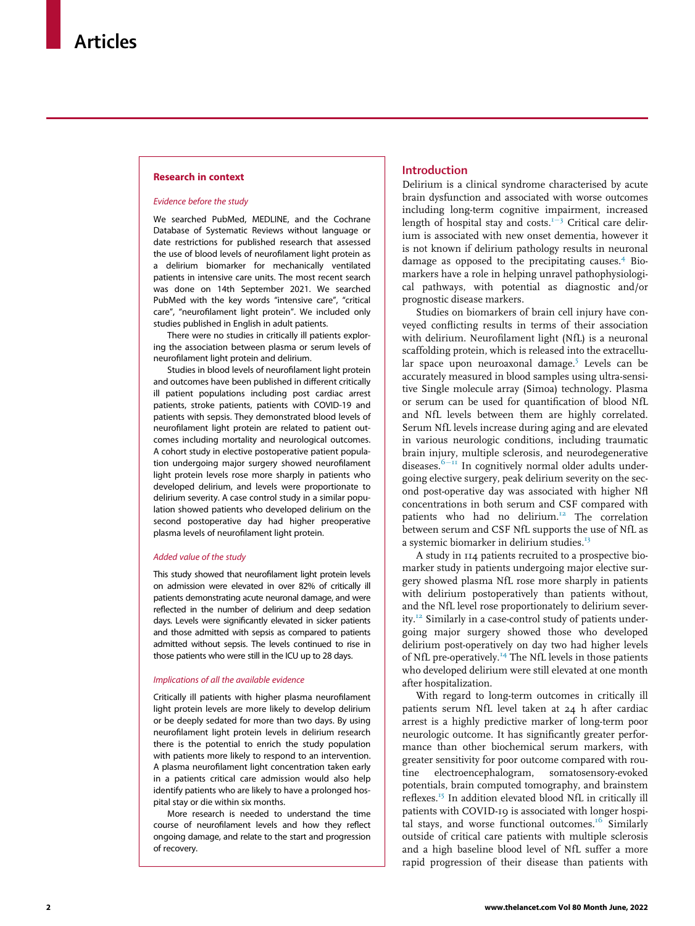## Research in context

#### Evidence before the study

We searched PubMed, MEDLINE, and the Cochrane Database of Systematic Reviews without language or date restrictions for published research that assessed the use of blood levels of neurofilament light protein as a delirium biomarker for mechanically ventilated patients in intensive care units. The most recent search was done on 14th September 2021. We searched PubMed with the key words "intensive care", "critical care", "neurofilament light protein". We included only studies published in English in adult patients.

There were no studies in critically ill patients exploring the association between plasma or serum levels of neurofilament light protein and delirium.

Studies in blood levels of neurofilament light protein and outcomes have been published in different critically ill patient populations including post cardiac arrest patients, stroke patients, patients with COVID-19 and patients with sepsis. They demonstrated blood levels of neurofilament light protein are related to patient outcomes including mortality and neurological outcomes. A cohort study in elective postoperative patient population undergoing major surgery showed neurofilament light protein levels rose more sharply in patients who developed delirium, and levels were proportionate to delirium severity. A case control study in a similar population showed patients who developed delirium on the second postoperative day had higher preoperative plasma levels of neurofilament light protein.

## Added value of the study

This study showed that neurofilament light protein levels on admission were elevated in over 82% of critically ill patients demonstrating acute neuronal damage, and were reflected in the number of delirium and deep sedation days. Levels were significantly elevated in sicker patients and those admitted with sepsis as compared to patients admitted without sepsis. The levels continued to rise in those patients who were still in the ICU up to 28 days.

#### Implications of all the available evidence

Critically ill patients with higher plasma neurofilament light protein levels are more likely to develop delirium or be deeply sedated for more than two days. By using neurofilament light protein levels in delirium research there is the potential to enrich the study population with patients more likely to respond to an intervention. A plasma neurofilament light concentration taken early in a patients critical care admission would also help identify patients who are likely to have a prolonged hospital stay or die within six months.

More research is needed to understand the time course of neurofilament levels and how they reflect ongoing damage, and relate to the start and progression of recovery.

## Introduction

Delirium is a clinical syndrome characterised by acute brain dysfunction and associated with worse outcomes including long-term cognitive impairment, increased length of hospital stay and costs. $1-3$  $1-3$  $1-3$  Critical care delirium is associated with new onset dementia, however it is not known if delirium pathology results in neuronal damage as opposed to the precipitating causes.<sup>[4](#page-10-1)</sup> Biomarkers have a role in helping unravel pathophysiological pathways, with potential as diagnostic and/or prognostic disease markers.

Studies on biomarkers of brain cell injury have conveyed conflicting results in terms of their association with delirium. Neurofilament light (NfL) is a neuronal scaffolding protein, which is released into the extracellu-lar space upon neuroaxonal damage.<sup>[5](#page-10-2)</sup> Levels can be accurately measured in blood samples using ultra-sensitive Single molecule array (Simoa) technology. Plasma or serum can be used for quantification of blood NfL and NfL levels between them are highly correlated. Serum NfL levels increase during aging and are elevated in various neurologic conditions, including traumatic brain injury, multiple sclerosis, and neurodegenerative diseases. $6\text{--}11}$  $6\text{--}11}$  $6\text{--}11}$  $6\text{--}11}$  In cognitively normal older adults undergoing elective surgery, peak delirium severity on the second post-operative day was associated with higher Nfl concentrations in both serum and CSF compared with patients who had no delirium.<sup>12</sup> The correlation between serum and CSF NfL supports the use of NfL as a systemic biomarker in delirium studies.<sup>[13](#page-11-1)</sup>

A study in 114 patients recruited to a prospective biomarker study in patients undergoing major elective surgery showed plasma NfL rose more sharply in patients with delirium postoperatively than patients without, and the NfL level rose proportionately to delirium severity.<sup>12</sup> Similarly in a case-control study of patients undergoing major surgery showed those who developed delirium post-operatively on day two had higher levels of NfL pre-operatively.<sup>[14](#page-11-2)</sup> The NfL levels in those patients who developed delirium were still elevated at one month after hospitalization.

With regard to long-term outcomes in critically ill patients serum NfL level taken at 24 h after cardiac arrest is a highly predictive marker of long-term poor neurologic outcome. It has significantly greater performance than other biochemical serum markers, with greater sensitivity for poor outcome compared with routine electroencephalogram, somatosensory-evoked potentials, brain computed tomography, and brainstem reflexes.<sup>[15](#page-11-3)</sup> In addition elevated blood NfL in critically ill patients with COVID-19 is associated with longer hospi-tal stays, and worse functional outcomes.<sup>[16](#page-11-4)</sup> Similarly outside of critical care patients with multiple sclerosis and a high baseline blood level of NfL suffer a more rapid progression of their disease than patients with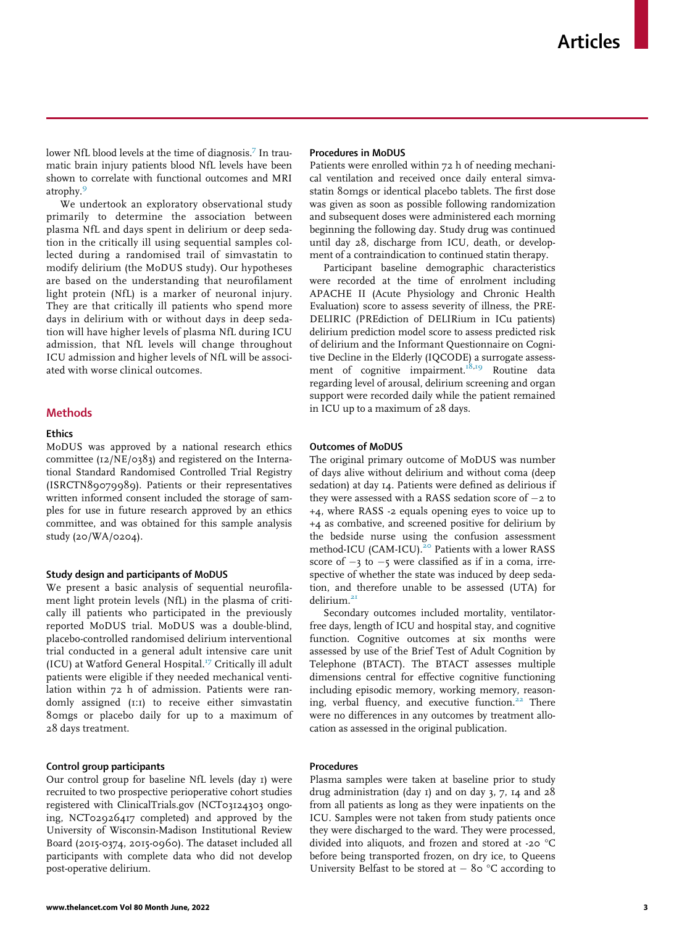lower NfL blood levels at the time of diagnosis.<sup>7</sup> In traumatic brain injury patients blood NfL levels have been shown to correlate with functional outcomes and MRI atrophy.<sup>[9](#page-10-5)</sup>

We undertook an exploratory observational study primarily to determine the association between plasma NfL and days spent in delirium or deep sedation in the critically ill using sequential samples collected during a randomised trail of simvastatin to modify delirium (the MoDUS study). Our hypotheses are based on the understanding that neurofilament light protein (NfL) is a marker of neuronal injury. They are that critically ill patients who spend more days in delirium with or without days in deep sedation will have higher levels of plasma NfL during ICU admission, that NfL levels will change throughout ICU admission and higher levels of NfL will be associated with worse clinical outcomes.

## Methods

## **Ethics**

MoDUS was approved by a national research ethics committee (12/NE/0383) and registered on the International Standard Randomised Controlled Trial Registry (ISRCTN89079989). Patients or their representatives written informed consent included the storage of samples for use in future research approved by an ethics committee, and was obtained for this sample analysis study (20/WA/0204).

#### Study design and participants of MoDUS

We present a basic analysis of sequential neurofilament light protein levels (NfL) in the plasma of critically ill patients who participated in the previously reported MoDUS trial. MoDUS was a double-blind, placebo-controlled randomised delirium interventional trial conducted in a general adult intensive care unit (ICU) at Watford General Hospital.<sup>[17](#page-11-5)</sup> Critically ill adult patients were eligible if they needed mechanical ventilation within 72 h of admission. Patients were randomly assigned (1:1) to receive either simvastatin 80mgs or placebo daily for up to a maximum of 28 days treatment.

## Control group participants

Our control group for baseline NfL levels (day 1) were recruited to two prospective perioperative cohort studies registered with ClinicalTrials.gov (NCT03124303 ongoing, NCT02926417 completed) and approved by the University of Wisconsin-Madison Institutional Review Board (2015-0374, 2015-0960). The dataset included all participants with complete data who did not develop post-operative delirium.

#### Procedures in MoDUS

Patients were enrolled within 72 h of needing mechanical ventilation and received once daily enteral simvastatin 80mgs or identical placebo tablets. The first dose was given as soon as possible following randomization and subsequent doses were administered each morning beginning the following day. Study drug was continued until day 28, discharge from ICU, death, or development of a contraindication to continued statin therapy.

Participant baseline demographic characteristics were recorded at the time of enrolment including APACHE II (Acute Physiology and Chronic Health Evaluation) score to assess severity of illness, the PRE-DELIRIC (PREdiction of DELIRium in ICu patients) delirium prediction model score to assess predicted risk of delirium and the Informant Questionnaire on Cognitive Decline in the Elderly (IQCODE) a surrogate assess-ment of cognitive impairment.<sup>18[,19](#page-11-7)</sup> Routine data regarding level of arousal, delirium screening and organ support were recorded daily while the patient remained in ICU up to a maximum of 28 days.

## Outcomes of MoDUS

The original primary outcome of MoDUS was number of days alive without delirium and without coma (deep sedation) at day 14. Patients were defined as delirious if they were assessed with a RASS sedation score of  $-z$  to +4, where RASS -2 equals opening eyes to voice up to +4 as combative, and screened positive for delirium by the bedside nurse using the confusion assessment method-ICU (CAM-ICU).<sup>[20](#page-11-8)</sup> Patients with a lower RASS score of  $-3$  to  $-5$  were classified as if in a coma, irrespective of whether the state was induced by deep sedation, and therefore unable to be assessed (UTA) for delirium.<sup>2</sup>

Secondary outcomes included mortality, ventilatorfree days, length of ICU and hospital stay, and cognitive function. Cognitive outcomes at six months were assessed by use of the Brief Test of Adult Cognition by Telephone (BTACT). The BTACT assesses multiple dimensions central for effective cognitive functioning including episodic memory, working memory, reason-ing, verbal fluency, and executive function.<sup>[22](#page-11-10)</sup> There were no differences in any outcomes by treatment allocation as assessed in the original publication.

## **Procedures**

Plasma samples were taken at baseline prior to study drug administration (day 1) and on day 3, 7, 14 and 28 from all patients as long as they were inpatients on the ICU. Samples were not taken from study patients once they were discharged to the ward. They were processed, divided into aliquots, and frozen and stored at -20 °C before being transported frozen, on dry ice, to Queens University Belfast to be stored at  $-$  80 °C according to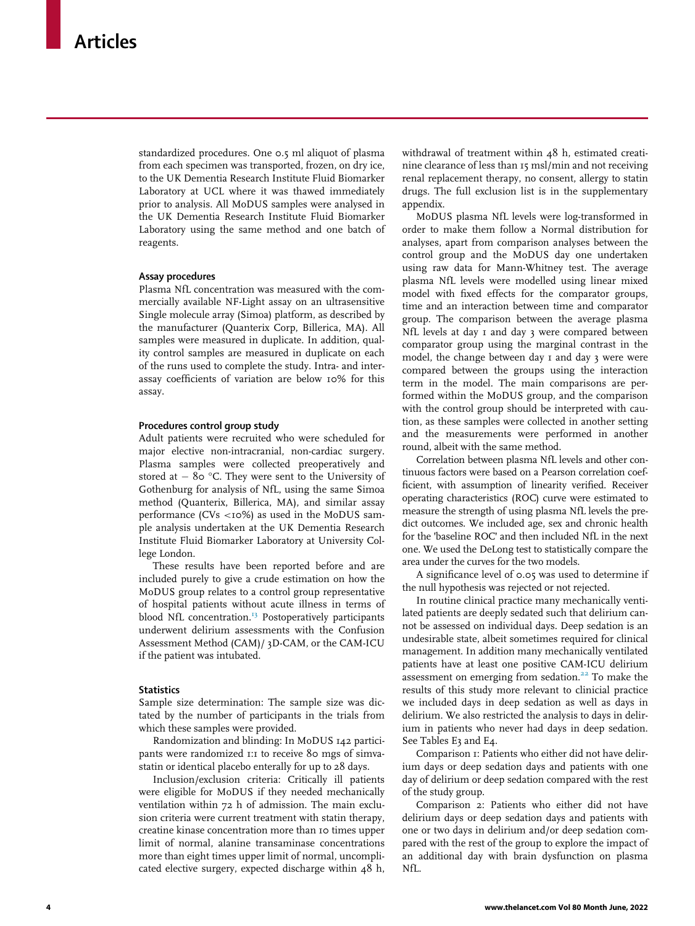standardized procedures. One 0.5 ml aliquot of plasma from each specimen was transported, frozen, on dry ice, to the UK Dementia Research Institute Fluid Biomarker Laboratory at UCL where it was thawed immediately prior to analysis. All MoDUS samples were analysed in the UK Dementia Research Institute Fluid Biomarker Laboratory using the same method and one batch of reagents.

## Assay procedures

Plasma NfL concentration was measured with the commercially available NF-Light assay on an ultrasensitive Single molecule array (Simoa) platform, as described by the manufacturer (Quanterix Corp, Billerica, MA). All samples were measured in duplicate. In addition, quality control samples are measured in duplicate on each of the runs used to complete the study. Intra- and interassay coefficients of variation are below 10% for this assay.

## Procedures control group study

Adult patients were recruited who were scheduled for major elective non-intracranial, non-cardiac surgery. Plasma samples were collected preoperatively and stored at  $-$  80 °C. They were sent to the University of Gothenburg for analysis of NfL, using the same Simoa method (Quanterix, Billerica, MA), and similar assay performance (CVs  $<10\%$ ) as used in the MoDUS sample analysis undertaken at the UK Dementia Research Institute Fluid Biomarker Laboratory at University College London.

These results have been reported before and are included purely to give a crude estimation on how the MoDUS group relates to a control group representative of hospital patients without acute illness in terms of blood NfL concentration.<sup>[13](#page-11-1)</sup> Postoperatively participants underwent delirium assessments with the Confusion Assessment Method (CAM)/ 3D-CAM, or the CAM-ICU if the patient was intubated.

#### **Statistics**

Sample size determination: The sample size was dictated by the number of participants in the trials from which these samples were provided.

Randomization and blinding: In MoDUS 142 participants were randomized 1:1 to receive 80 mgs of simvastatin or identical placebo enterally for up to 28 days.

Inclusion/exclusion criteria: Critically ill patients were eligible for MoDUS if they needed mechanically ventilation within 72 h of admission. The main exclusion criteria were current treatment with statin therapy, creatine kinase concentration more than 10 times upper limit of normal, alanine transaminase concentrations more than eight times upper limit of normal, uncomplicated elective surgery, expected discharge within 48 h,

withdrawal of treatment within 48 h, estimated creatinine clearance of less than 15 msl/min and not receiving renal replacement therapy, no consent, allergy to statin drugs. The full exclusion list is in the supplementary appendix.

MoDUS plasma NfL levels were log-transformed in order to make them follow a Normal distribution for analyses, apart from comparison analyses between the control group and the MoDUS day one undertaken using raw data for Mann-Whitney test. The average plasma NfL levels were modelled using linear mixed model with fixed effects for the comparator groups, time and an interaction between time and comparator group. The comparison between the average plasma NfL levels at day 1 and day 3 were compared between comparator group using the marginal contrast in the model, the change between day 1 and day 3 were were compared between the groups using the interaction term in the model. The main comparisons are performed within the MoDUS group, and the comparison with the control group should be interpreted with caution, as these samples were collected in another setting and the measurements were performed in another round, albeit with the same method.

Correlation between plasma NfL levels and other continuous factors were based on a Pearson correlation coefficient, with assumption of linearity verified. Receiver operating characteristics (ROC) curve were estimated to measure the strength of using plasma NfL levels the predict outcomes. We included age, sex and chronic health for the 'baseline ROC' and then included NfL in the next one. We used the DeLong test to statistically compare the area under the curves for the two models.

A significance level of 0.05 was used to determine if the null hypothesis was rejected or not rejected.

In routine clinical practice many mechanically ventilated patients are deeply sedated such that delirium cannot be assessed on individual days. Deep sedation is an undesirable state, albeit sometimes required for clinical management. In addition many mechanically ventilated patients have at least one positive CAM-ICU delirium assessment on emerging from sedation.<sup>[22](#page-11-10)</sup> To make the results of this study more relevant to clinicial practice we included days in deep sedation as well as days in delirium. We also restricted the analysis to days in delirium in patients who never had days in deep sedation. See Tables E3 and E4.

Comparison 1: Patients who either did not have delirium days or deep sedation days and patients with one day of delirium or deep sedation compared with the rest of the study group.

Comparison 2: Patients who either did not have delirium days or deep sedation days and patients with one or two days in delirium and/or deep sedation compared with the rest of the group to explore the impact of an additional day with brain dysfunction on plasma NfL.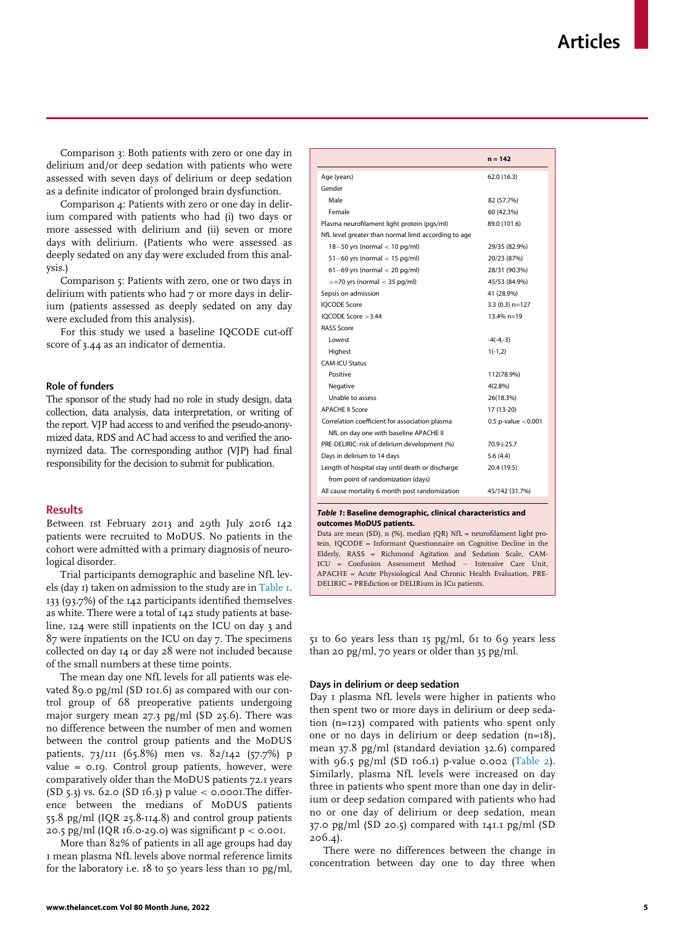<span id="page-4-0"></span>Comparison 3: Both patients with zero or one day in delirium and/or deep sedation with patients who were assessed with seven days of delirium or deep sedation as a definite indicator of prolonged brain dysfunction.

Comparison 4: Patients with zero or one day in delirium compared with patients who had (i) two days or more assessed with delirium and (ii) seven or more days with delirium. (Patients who were assessed as deeply sedated on any day were excluded from this analysis.)

Comparison 5: Patients with zero, one or two days in delirium with patients who had 7 or more days in delirium (patients assessed as deeply sedated on any day were excluded from this analysis).

For this study we used a baseline IQCODE cut-off score of 3.44 as an indicator of dementia.

## Role of funders

The sponsor of the study had no role in study design, data collection, data analysis, data interpretation, or writing of the report. VJP had access to and verified the pseudo-anonymized data, RDS and AC had access to and verified the anonymized data. The corresponding author (VJP) had final responsibility for the decision to submit for publication.

## **Results**

Between 1st February 2013 and 29th July 2016 142 patients were recruited to MoDUS. No patients in the cohort were admitted with a primary diagnosis of neurological disorder.

Trial participants demographic and baseline NfL levels (day 1) taken on admission to the study are in [Table 1](#page-4-0). 133 (93.7%) of the 142 participants identified themselves as white. There were a total of 142 study patients at baseline, 124 were still inpatients on the ICU on day 3 and 87 were inpatients on the ICU on day 7. The specimens collected on day 14 or day 28 were not included because of the small numbers at these time points.

The mean day one NfL levels for all patients was elevated 89.0 pg/ml (SD 101.6) as compared with our control group of 68 preoperative patients undergoing major surgery mean 27.3 pg/ml (SD 25.6). There was no difference between the number of men and women between the control group patients and the MoDUS patients, 73/111 (65.8%) men vs. 82/142 (57.7%) p value = 0.19. Control group patients, however, were comparatively older than the MoDUS patients 72.1 years (SD 5.3) vs. 62.0 (SD 16.3) p value  $<$  0.0001. The difference between the medians of MoDUS patients 55.8 pg/ml (IQR 25.8-114.8) and control group patients 20.5 pg/ml (IQR  $16.0-29.0$ ) was significant  $p < 0.001$ .

More than 82% of patients in all age groups had day 1 mean plasma NfL levels above normal reference limits for the laboratory i.e.  $18$  to 50 years less than 10 pg/ml,

|                                                      | $n = 142$             |
|------------------------------------------------------|-----------------------|
| Age (years)                                          | 62.0 (16.3)           |
| Gender                                               |                       |
| Male                                                 | 82 (57.7%)            |
| Female                                               | 60 (42.3%)            |
| Plasma neurofilament light protein (pgs/ml)          | 89.0 (101.6)          |
| NfL level greater than normal limit according to age |                       |
| $18 - 50$ yrs (normal $< 10$ pg/ml)                  | 29/35 (82.9%)         |
| $51-60$ yrs (normal $< 15$ pg/ml)                    | 20/23 (87%)           |
| $61-69$ yrs (normal $<$ 20 pg/ml)                    | 28/31 (90.3%)         |
| $>=$ 70 yrs (normal $<$ 35 pg/ml)                    | 45/53 (84.9%)         |
| Sepsis on admission                                  | 41 (28.9%)            |
| <b>IOCODE Score</b>                                  | $3.3(0.3)$ n=127      |
| IOCODE Score > 3.44                                  | $13.4\%$ n=19         |
| <b>RASS Score</b>                                    |                       |
| Lowest                                               | $-4(-4,-3)$           |
| Highest                                              | $1(-1,2)$             |
| <b>CAM-ICU Status</b>                                |                       |
| Positive                                             | 112(78.9%)            |
| Negative                                             | 4(2.8%)               |
| Unable to assess                                     | 26(18.3%)             |
| <b>APACHE II Score</b>                               | 17 (13-20)            |
| Correlation coefficient for association plasma       | 0.5 p-value $<$ 0.001 |
| NfL on day one with baseline APACHE II               |                       |
| PRE-DELIRIC: risk of delirium development (%)        | $70.9 + 25.7$         |
| Days in delirium to 14 days                          | 5.6(4.4)              |
| Length of hospital stay until death or discharge     | 20.4 (19.5)           |
| from point of randomization (days)                   |                       |
| All cause mortality 6 month post randomization       | 45/142 (31.7%)        |

#### Table 1: Baseline demographic, clinical characteristics and outcomes MoDUS patients.

Data are mean (SD), n (%), median (QR) NfL = neurofilament light protein, IQCODE = Informant Questionnaire on Cognitive Decline in the Elderly, RASS = Richmond Agitation and Sedation Scale, CAM-ICU = Confusion Assessment Method Intensive Care Unit, APACHE = Acute Physiological And Chronic Health Evaluation, PRE-DELIRIC = PREdiction or DELIRium in ICu patients.

 $51$  to 60 years less than  $15$  pg/ml, 61 to 69 years less than 20 pg/ml, 70 years or older than 35 pg/ml.

## Days in delirium or deep sedation

Day 1 plasma NfL levels were higher in patients who then spent two or more days in delirium or deep sedation (n=123) compared with patients who spent only one or no days in delirium or deep sedation (n=18), mean 37.8 pg/ml (standard deviation 32.6) compared with 96.5 pg/ml (SD 106.1) p-value 0.002 [\(Table 2](#page-5-0)). Similarly, plasma NfL levels were increased on day three in patients who spent more than one day in delirium or deep sedation compared with patients who had no or one day of delirium or deep sedation, mean 37.0 pg/ml (SD 20.5) compared with 141.1 pg/ml (SD 206.4).

There were no differences between the change in concentration between day one to day three when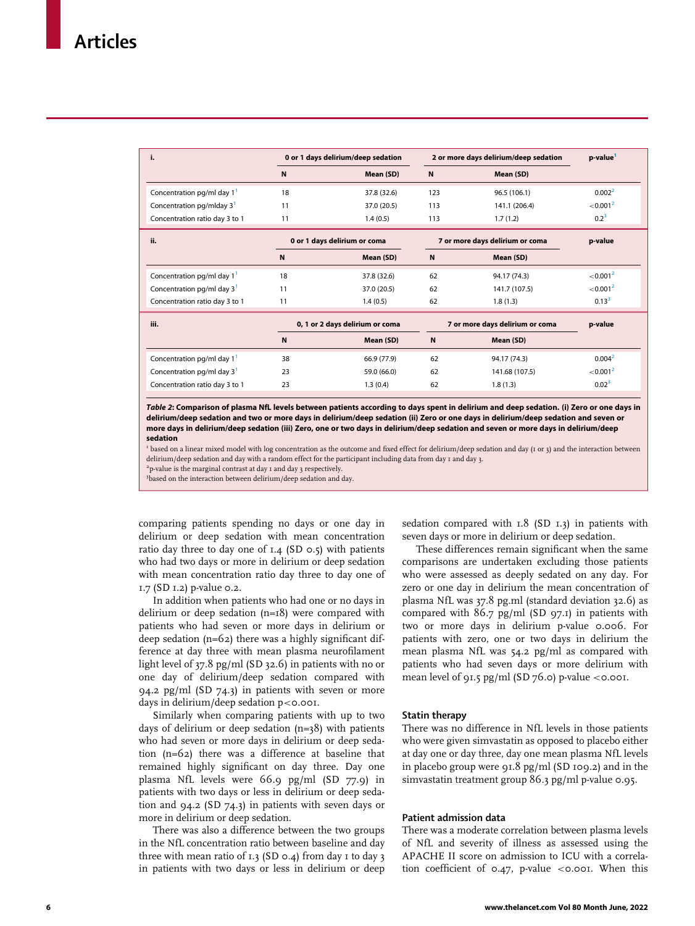<span id="page-5-0"></span>

| i.                                    | 0 or 1 days delirium/deep sedation |             | 2 or more days delirium/deep sedation |               | p-value <sup>1</sup> |
|---------------------------------------|------------------------------------|-------------|---------------------------------------|---------------|----------------------|
|                                       | N                                  | Mean (SD)   | $\mathbf N$                           | Mean (SD)     |                      |
| Concentration pg/ml day $1^1$         | 18                                 | 37.8 (32.6) | 123                                   | 96.5 (106.1)  | 0.002 <sup>2</sup>   |
| Concentration pg/mlday 3 <sup>1</sup> | 11                                 | 37.0 (20.5) | 113                                   | 141.1 (206.4) | < 0.001 <sup>2</sup> |
| Concentration ratio day 3 to 1        | 11                                 | 1.4(0.5)    | 113                                   | 1.7(1.2)      | $0.2^3$              |
|                                       | 0 or 1 days delirium or coma       |             | 7 or more days delirium or coma       |               |                      |
| ii.                                   |                                    |             |                                       |               | p-value              |
|                                       | N                                  | Mean (SD)   | N                                     | Mean (SD)     |                      |
| Concentration pg/ml day $1^1$         | 18                                 | 37.8 (32.6) | 62                                    | 94.17 (74.3)  | < 0.001 <sup>2</sup> |
| Concentration $pq/ml$ day $31$        | 11                                 | 37.0 (20.5) | 62                                    | 141.7 (107.5) | < 0.001 <sup>2</sup> |

| iii.                           | 0, 1 or 2 days delirium or coma |             | 7 or more days delirium or coma |                | p-value              |
|--------------------------------|---------------------------------|-------------|---------------------------------|----------------|----------------------|
|                                | N                               | Mean (SD)   | N                               | Mean (SD)      |                      |
| Concentration pg/ml day 1'     | 38                              | 66.9 (77.9) | 62                              | 94.17 (74.3)   | 0.004 <sup>2</sup>   |
| Concentration pg/ml day $31$   | 23                              | 59.0 (66.0) | 62                              | 141.68 (107.5) | < 0.001 <sup>2</sup> |
| Concentration ratio day 3 to 1 | 23                              | 1.3(0.4)    | 62                              | 1.8(1.3)       | $0.02^{3}$           |

Table 2: Comparison of plasma NfL levels between patients according to days spent in delirium and deep sedation. (i) Zero or one days in delirium/deep sedation and two or more days in delirium/deep sedation (ii) Zero or one days in delirium/deep sedation and seven or more days in delirium/deep sedation (iii) Zero, one or two days in delirium/deep sedation and seven or more days in delirium/deep sedation

<sup>1</sup> based on a linear mixed model with log concentration as the outcome and fixed effect for delirium/deep sedation and day (1 or 3) and the interaction between delirium/deep sedation and day with a random effect for the participant including data from day 1 and day 3.

2 p-value is the marginal contrast at day 1 and day 3 respectively.

<sup>3</sup>based on the interaction between delirium/deep sedation and day.

comparing patients spending no days or one day in delirium or deep sedation with mean concentration ratio day three to day one of  $I.4$  (SD 0.5) with patients who had two days or more in delirium or deep sedation with mean concentration ratio day three to day one of 1.7 (SD 1.2) p-value 0.2.

In addition when patients who had one or no days in delirium or deep sedation (n=18) were compared with patients who had seven or more days in delirium or deep sedation (n=62) there was a highly significant difference at day three with mean plasma neurofilament light level of 37.8 pg/ml (SD 32.6) in patients with no or one day of delirium/deep sedation compared with 94.2 pg/ml (SD 74.3) in patients with seven or more days in delirium/deep sedation  $p <$  0.001.

Similarly when comparing patients with up to two days of delirium or deep sedation (n=38) with patients who had seven or more days in delirium or deep sedation (n=62) there was a difference at baseline that remained highly significant on day three. Day one plasma NfL levels were 66.9 pg/ml (SD 77.9) in patients with two days or less in delirium or deep sedation and 94.2 (SD 74.3) in patients with seven days or more in delirium or deep sedation.

There was also a difference between the two groups in the NfL concentration ratio between baseline and day three with mean ratio of  $I.3$  (SD 0.4) from day  $I$  to day  $3$ in patients with two days or less in delirium or deep

sedation compared with  $1.8$  (SD  $1.3$ ) in patients with seven days or more in delirium or deep sedation.

These differences remain significant when the same comparisons are undertaken excluding those patients who were assessed as deeply sedated on any day. For zero or one day in delirium the mean concentration of plasma NfL was 37.8 pg.ml (standard deviation 32.6) as compared with  $86.7$  pg/ml (SD 97.1) in patients with two or more days in delirium p-value 0.006. For patients with zero, one or two days in delirium the mean plasma NfL was 54.2 pg/ml as compared with patients who had seven days or more delirium with mean level of 91.5 pg/ml (SD  $76.0$ ) p-value <0.001.

#### Statin therapy

There was no difference in NfL levels in those patients who were given simvastatin as opposed to placebo either at day one or day three, day one mean plasma NfL levels in placebo group were 91.8 pg/ml (SD 109.2) and in the simvastatin treatment group 86.3 pg/ml p-value 0.95.

## Patient admission data

There was a moderate correlation between plasma levels of NfL and severity of illness as assessed using the APACHE II score on admission to ICU with a correlation coefficient of  $0.47$ , p-value <0.001. When this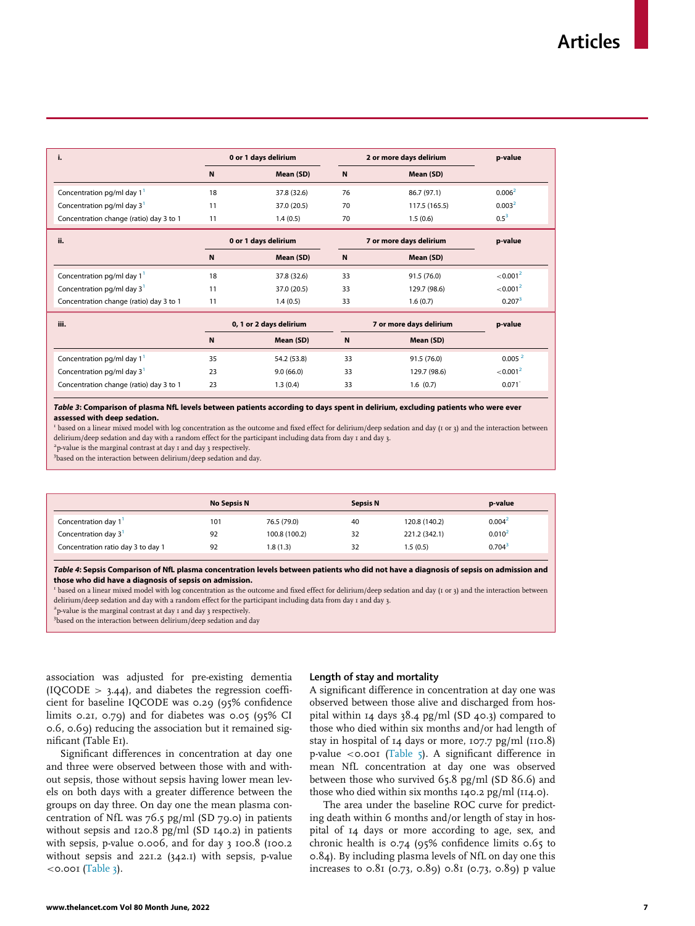<span id="page-6-0"></span>

| i.                                      | 0 or 1 days delirium    |                      |                         | 2 or more days delirium | p-value              |
|-----------------------------------------|-------------------------|----------------------|-------------------------|-------------------------|----------------------|
|                                         | $\mathbf N$             | Mean (SD)            | $\mathbf N$             | Mean (SD)               |                      |
| Concentration pg/ml day $11$            | 18                      | 37.8 (32.6)          | 76                      | 86.7 (97.1)             | 0.006 <sup>2</sup>   |
| Concentration pg/ml day $31$            | 11                      | 37.0 (20.5)          | 70                      | 117.5 (165.5)           | 0.003 <sup>2</sup>   |
| Concentration change (ratio) day 3 to 1 | 11                      | 1.4(0.5)             | 70                      | 1.5(0.6)                | $0.5^3$              |
| ii.                                     |                         | 0 or 1 days delirium |                         | 7 or more days delirium | p-value              |
|                                         | N                       | Mean (SD)            | N                       | Mean (SD)               |                      |
| Concentration pg/ml day $11$            | 18                      | 37.8 (32.6)          | 33                      | 91.5 (76.0)             | < 0.001 <sup>2</sup> |
| Concentration pg/ml day $31$            | 11                      | 37.0 (20.5)          | 33                      | 129.7 (98.6)            | < 0.001 <sup>2</sup> |
| Concentration change (ratio) day 3 to 1 | 11                      | 1.4(0.5)             | 33                      | 1.6(0.7)                | 0.207 <sup>3</sup>   |
| iii.                                    | 0, 1 or 2 days delirium |                      | 7 or more days delirium |                         | p-value              |
|                                         | ${\sf N}$               | Mean (SD)            | N                       | Mean (SD)               |                      |
| Concentration pg/ml day $11$            | 35                      | 54.2 (53.8)          | 33                      | 91.5 (76.0)             | 0.005 <sup>2</sup>   |
| Concentration pg/ml day $31$            | 23                      | 9.0(66.0)            | 33                      | 129.7 (98.6)            | < 0.001 <sup>2</sup> |
| Concentration change (ratio) day 3 to 1 | 23                      | 1.3(0.4)             | 33                      | 1.6(0.7)                | $0.071$ <sup>-</sup> |

Table 3: Comparison of plasma NfL levels between patients according to days spent in delirium, excluding patients who were ever assessed with deep sedation.

<sup>1</sup> based on a linear mixed model with log concentration as the outcome and fixed effect for delirium/deep sedation and day (1 or 3) and the interaction between delirium/deep sedation and day with a random effect for the participant including data from day 1 and day 3.

2 p-value is the marginal contrast at day 1 and day 3 respectively.

3 based on the interaction between delirium/deep sedation and day.

| <b>No Sepsis N</b> |               | <b>Sepsis N</b> |               | p-value              |
|--------------------|---------------|-----------------|---------------|----------------------|
| 101                | 76.5 (79.0)   | 40              | 120.8 (140.2) | 0.004 <sup>2</sup>   |
| 92                 | 100.8 (100.2) | 32              | 221.2 (342.1) | 0.010 <sup>2</sup>   |
| 92                 | 1.8(1.3)      | 32              | 1.5(0.5)      | $0.704$ <sup>3</sup> |
|                    |               |                 |               |                      |

Table 4: Sepsis Comparison of NfL plasma concentration levels between patients who did not have a diagnosis of sepsis on admission and those who did have a diagnosis of sepsis on admission.

<sup>1</sup> based on a linear mixed model with log concentration as the outcome and fixed effect for delirium/deep sedation and day (1 or 3) and the interaction between delirium/deep sedation and day with a random effect for the participant including data from day 1 and day 3.

2 p-value is the marginal contrast at day 1 and day 3 respectively.

3 based on the interaction between delirium/deep sedation and day

association was adjusted for pre-existing dementia (IQCODE  $> 3.44$ ), and diabetes the regression coefficient for baseline IQCODE was 0.29 (95% confidence limits 0.21, 0.79) and for diabetes was 0.05 (95% CI 0.6, 0.69) reducing the association but it remained significant (Table E1).

Significant differences in concentration at day one and three were observed between those with and without sepsis, those without sepsis having lower mean levels on both days with a greater difference between the groups on day three. On day one the mean plasma concentration of NfL was  $76.5$  pg/ml (SD 79.0) in patients without sepsis and 120.8 pg/ml (SD 140.2) in patients with sepsis, p-value 0.006, and for day 3 100.8 (100.2 without sepsis and 221.2 (342.1) with sepsis, p-value  $<$ o.oo $I$  ([Table 3](#page-6-0)).

#### Length of stay and mortality

A significant difference in concentration at day one was observed between those alive and discharged from hospital within 14 days 38.4 pg/ml (SD 40.3) compared to those who died within six months and/or had length of stay in hospital of 14 days or more, 107.7 pg/ml (110.8) p-value <0.001 [\(Table 5](#page-7-0)). A significant difference in mean NfL concentration at day one was observed between those who survived 65.8 pg/ml (SD 86.6) and those who died within six months 140.2 pg/ml (114.0).

The area under the baseline ROC curve for predicting death within 6 months and/or length of stay in hospital of 14 days or more according to age, sex, and chronic health is 0.74 (95% confidence limits 0.65 to 0.84). By including plasma levels of NfL on day one this increases to  $0.81$  (0.73, 0.89) 0.81 (0.73, 0.89) p value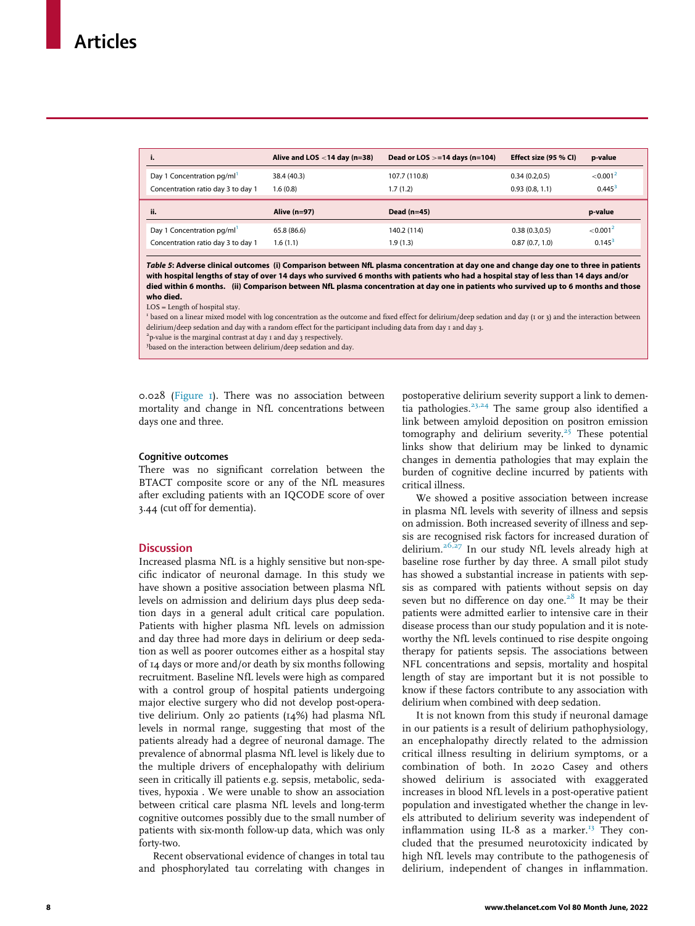<span id="page-7-0"></span>

| i.                                 | Alive and LOS $<$ 14 day (n=38) | Dead or LOS $> = 14$ days (n=104) | Effect size (95 % CI) | p-value              |
|------------------------------------|---------------------------------|-----------------------------------|-----------------------|----------------------|
| Day 1 Concentration pg/ml          | 38.4 (40.3)                     | 107.7 (110.8)                     | 0.34(0.2,0.5)         | < 0.001 <sup>2</sup> |
| Concentration ratio day 3 to day 1 | 1.6(0.8)                        | 1.7(1.2)                          | 0.93(0.8, 1.1)        | $0.445^{3}$          |
| ii.                                | Alive (n=97)                    | Dead $(n=45)$                     |                       | p-value              |
| Day 1 Concentration pg/ml          | 65.8 (86.6)                     | 140.2 (114)                       | 0.38(0.3,0.5)         | < 0.001 <sup>2</sup> |
| Concentration ratio day 3 to day 1 | 1.6(1.1)                        | 1.9(1.3)                          | 0.87(0.7, 1.0)        | $0.145^{3}$          |

Table 5: Adverse clinical outcomes (i) Comparison between NfL plasma concentration at day one and change day one to three in patients with hospital lengths of stay of over 14 days who survived 6 months with patients who had a hospital stay of less than 14 days and/or died within 6 months. (ii) Comparison between NfL plasma concentration at day one in patients who survived up to 6 months and those who died.

LOS = Length of hospital stay.

<sup>1</sup> based on a linear mixed model with log concentration as the outcome and fixed effect for delirium/deep sedation and day (1 or 3) and the interaction between delirium/deep sedation and day with a random effect for the participant including data from day 1 and day 3.

2 p-value is the marginal contrast at day 1 and day 3 respectively.

3 based on the interaction between delirium/deep sedation and day.

0.028 [\(Figure 1](#page-8-0)). There was no association between mortality and change in NfL concentrations between days one and three.

#### Cognitive outcomes

There was no significant correlation between the BTACT composite score or any of the NfL measures after excluding patients with an IQCODE score of over 3.44 (cut off for dementia).

## **Discussion**

Increased plasma NfL is a highly sensitive but non-specific indicator of neuronal damage. In this study we have shown a positive association between plasma NfL levels on admission and delirium days plus deep sedation days in a general adult critical care population. Patients with higher plasma NfL levels on admission and day three had more days in delirium or deep sedation as well as poorer outcomes either as a hospital stay of 14 days or more and/or death by six months following recruitment. Baseline NfL levels were high as compared with a control group of hospital patients undergoing major elective surgery who did not develop post-operative delirium. Only 20 patients (14%) had plasma NfL levels in normal range, suggesting that most of the patients already had a degree of neuronal damage. The prevalence of abnormal plasma NfL level is likely due to the multiple drivers of encephalopathy with delirium seen in critically ill patients e.g. sepsis, metabolic, sedatives, hypoxia . We were unable to show an association between critical care plasma NfL levels and long-term cognitive outcomes possibly due to the small number of patients with six-month follow-up data, which was only forty-two.

Recent observational evidence of changes in total tau and phosphorylated tau correlating with changes in

postoperative delirium severity support a link to dementia pathologies. $23,24$  The same group also identified a link between amyloid deposition on positron emission tomography and delirium severity.<sup>[25](#page-11-12)</sup> These potential links show that delirium may be linked to dynamic changes in dementia pathologies that may explain the burden of cognitive decline incurred by patients with critical illness.

We showed a positive association between increase in plasma NfL levels with severity of illness and sepsis on admission. Both increased severity of illness and sepsis are recognised risk factors for increased duration of delirium.<sup>[26,27](#page-11-13)</sup> In our study NfL levels already high at baseline rose further by day three. A small pilot study has showed a substantial increase in patients with sepsis as compared with patients without sepsis on day seven but no difference on day one. $28$  It may be their patients were admitted earlier to intensive care in their disease process than our study population and it is noteworthy the NfL levels continued to rise despite ongoing therapy for patients sepsis. The associations between NFL concentrations and sepsis, mortality and hospital length of stay are important but it is not possible to know if these factors contribute to any association with delirium when combined with deep sedation.

It is not known from this study if neuronal damage in our patients is a result of delirium pathophysiology, an encephalopathy directly related to the admission critical illness resulting in delirium symptoms, or a combination of both. In 2020 Casey and others showed delirium is associated with exaggerated increases in blood NfL levels in a post-operative patient population and investigated whether the change in levels attributed to delirium severity was independent of inflammation using IL-8 as a marker. $^{13}$  $^{13}$  $^{13}$  They concluded that the presumed neurotoxicity indicated by high NfL levels may contribute to the pathogenesis of delirium, independent of changes in inflammation.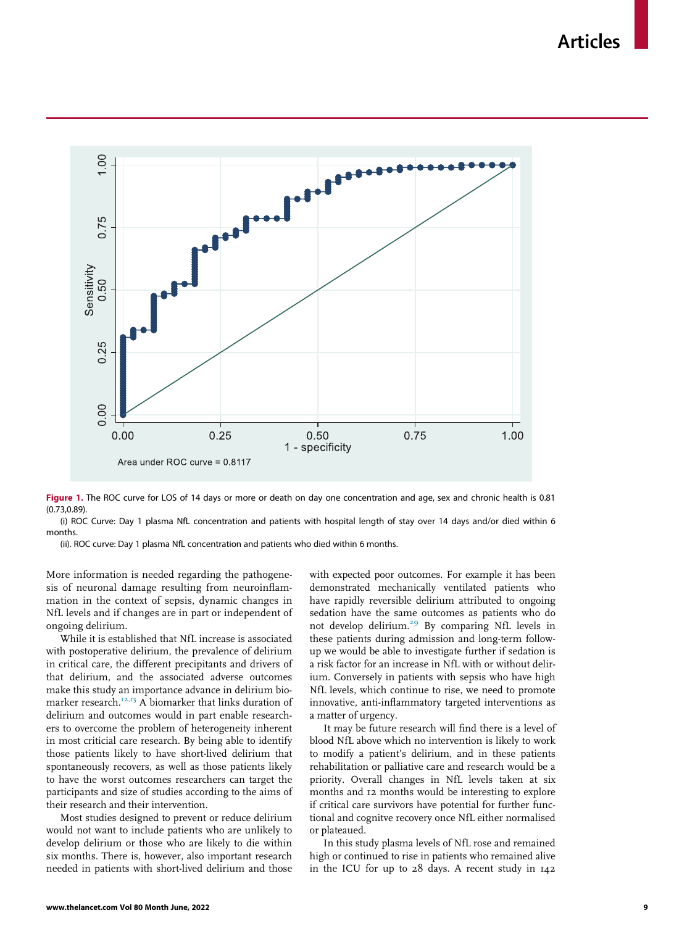Articles

<span id="page-8-0"></span>

Figure 1. The ROC curve for LOS of 14 days or more or death on day one concentration and age, sex and chronic health is 0.81 (0.73,0.89).

(i) ROC Curve: Day 1 plasma NfL concentration and patients with hospital length of stay over 14 days and/or died within 6 months.

(ii). ROC curve: Day 1 plasma NfL concentration and patients who died within 6 months.

More information is needed regarding the pathogenesis of neuronal damage resulting from neuroinflammation in the context of sepsis, dynamic changes in NfL levels and if changes are in part or independent of ongoing delirium.

While it is established that NfL increase is associated with postoperative delirium, the prevalence of delirium in critical care, the different precipitants and drivers of that delirium, and the associated adverse outcomes make this study an importance advance in delirium bio-marker research.<sup>[12,13](#page-11-0)</sup> A biomarker that links duration of delirium and outcomes would in part enable researchers to overcome the problem of heterogeneity inherent in most criticial care research. By being able to identify those patients likely to have short-lived delirium that spontaneously recovers, as well as those patients likely to have the worst outcomes researchers can target the participants and size of studies according to the aims of their research and their intervention.

Most studies designed to prevent or reduce delirium would not want to include patients who are unlikely to develop delirium or those who are likely to die within six months. There is, however, also important research needed in patients with short-lived delirium and those with expected poor outcomes. For example it has been demonstrated mechanically ventilated patients who have rapidly reversible delirium attributed to ongoing sedation have the same outcomes as patients who do not develop delirium.<sup>[29](#page-11-15)</sup> By comparing NfL levels in these patients during admission and long-term followup we would be able to investigate further if sedation is a risk factor for an increase in NfL with or without delirium. Conversely in patients with sepsis who have high NfL levels, which continue to rise, we need to promote innovative, anti-inflammatory targeted interventions as a matter of urgency.

It may be future research will find there is a level of blood NfL above which no intervention is likely to work to modify a patient's delirium, and in these patients rehabilitation or palliative care and research would be a priority. Overall changes in NfL levels taken at six months and 12 months would be interesting to explore if critical care survivors have potential for further functional and cognitve recovery once NfL either normalised or plateaued.

In this study plasma levels of NfL rose and remained high or continued to rise in patients who remained alive in the ICU for up to 28 days. A recent study in 142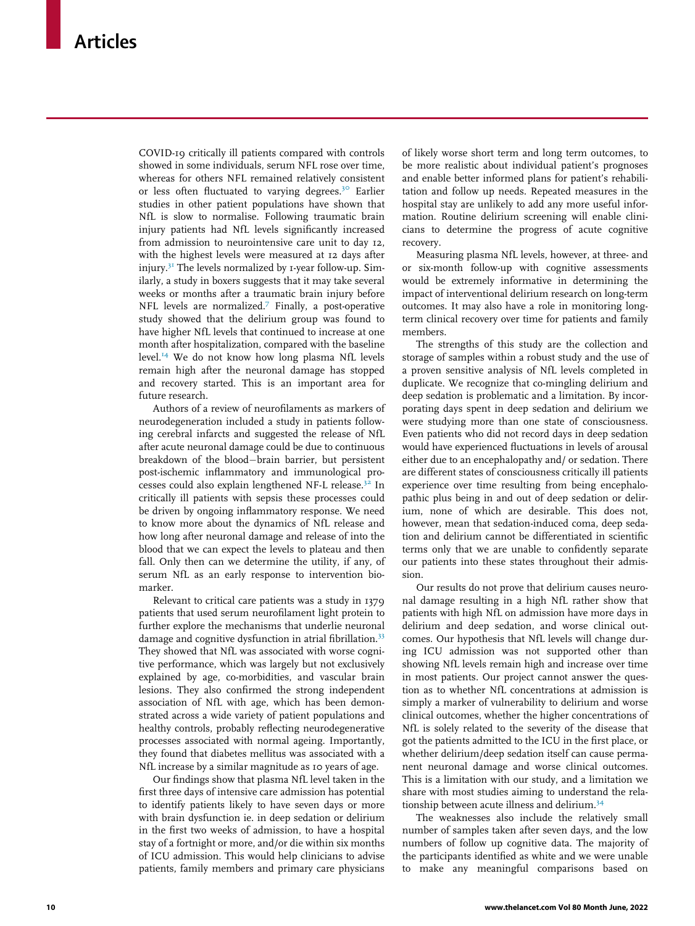COVID-19 critically ill patients compared with controls showed in some individuals, serum NFL rose over time, whereas for others NFL remained relatively consistent or less often fluctuated to varying degrees.<sup>[30](#page-11-16)</sup> Earlier studies in other patient populations have shown that NfL is slow to normalise. Following traumatic brain injury patients had NfL levels significantly increased from admission to neurointensive care unit to day 12, with the highest levels were measured at 12 days after injury.[31](#page-11-17) The levels normalized by 1-year follow-up. Similarly, a study in boxers suggests that it may take several weeks or months after a traumatic brain injury before NFL levels are normalized.[7](#page-10-4) Finally, a post-operative study showed that the delirium group was found to have higher NfL levels that continued to increase at one month after hospitalization, compared with the baseline level.<sup>[14](#page-11-2)</sup> We do not know how long plasma NfL levels remain high after the neuronal damage has stopped and recovery started. This is an important area for future research.

Authors of a review of neurofilaments as markers of neurodegeneration included a study in patients following cerebral infarcts and suggested the release of NfL after acute neuronal damage could be due to continuous breakdown of the blood-brain barrier, but persistent post-ischemic inflammatory and immunological pro-cesses could also explain lengthened NF-L release.<sup>[32](#page-11-18)</sup> In critically ill patients with sepsis these processes could be driven by ongoing inflammatory response. We need to know more about the dynamics of NfL release and how long after neuronal damage and release of into the blood that we can expect the levels to plateau and then fall. Only then can we determine the utility, if any, of serum NfL as an early response to intervention biomarker.

Relevant to critical care patients was a study in 1379 patients that used serum neurofilament light protein to further explore the mechanisms that underlie neuronal damage and cognitive dysfunction in atrial fibrillation.<sup>[33](#page-11-19)</sup> They showed that NfL was associated with worse cognitive performance, which was largely but not exclusively explained by age, co-morbidities, and vascular brain lesions. They also confirmed the strong independent association of NfL with age, which has been demonstrated across a wide variety of patient populations and healthy controls, probably reflecting neurodegenerative processes associated with normal ageing. Importantly, they found that diabetes mellitus was associated with a NfL increase by a similar magnitude as 10 years of age.

Our findings show that plasma NfL level taken in the first three days of intensive care admission has potential to identify patients likely to have seven days or more with brain dysfunction ie. in deep sedation or delirium in the first two weeks of admission, to have a hospital stay of a fortnight or more, and/or die within six months of ICU admission. This would help clinicians to advise patients, family members and primary care physicians

of likely worse short term and long term outcomes, to be more realistic about individual patient's prognoses and enable better informed plans for patient's rehabilitation and follow up needs. Repeated measures in the hospital stay are unlikely to add any more useful information. Routine delirium screening will enable clinicians to determine the progress of acute cognitive recovery.

Measuring plasma NfL levels, however, at three- and or six-month follow-up with cognitive assessments would be extremely informative in determining the impact of interventional delirium research on long-term outcomes. It may also have a role in monitoring longterm clinical recovery over time for patients and family members.

The strengths of this study are the collection and storage of samples within a robust study and the use of a proven sensitive analysis of NfL levels completed in duplicate. We recognize that co-mingling delirium and deep sedation is problematic and a limitation. By incorporating days spent in deep sedation and delirium we were studying more than one state of consciousness. Even patients who did not record days in deep sedation would have experienced fluctuations in levels of arousal either due to an encephalopathy and/ or sedation. There are different states of consciousness critically ill patients experience over time resulting from being encephalopathic plus being in and out of deep sedation or delirium, none of which are desirable. This does not, however, mean that sedation-induced coma, deep sedation and delirium cannot be differentiated in scientific terms only that we are unable to confidently separate our patients into these states throughout their admission.

Our results do not prove that delirium causes neuronal damage resulting in a high NfL rather show that patients with high NfL on admission have more days in delirium and deep sedation, and worse clinical outcomes. Our hypothesis that NfL levels will change during ICU admission was not supported other than showing NfL levels remain high and increase over time in most patients. Our project cannot answer the question as to whether NfL concentrations at admission is simply a marker of vulnerability to delirium and worse clinical outcomes, whether the higher concentrations of NfL is solely related to the severity of the disease that got the patients admitted to the ICU in the first place, or whether delirium/deep sedation itself can cause permanent neuronal damage and worse clinical outcomes. This is a limitation with our study, and a limitation we share with most studies aiming to understand the relationship between acute illness and delirium.[34](#page-11-20)

The weaknesses also include the relatively small number of samples taken after seven days, and the low numbers of follow up cognitive data. The majority of the participants identified as white and we were unable to make any meaningful comparisons based on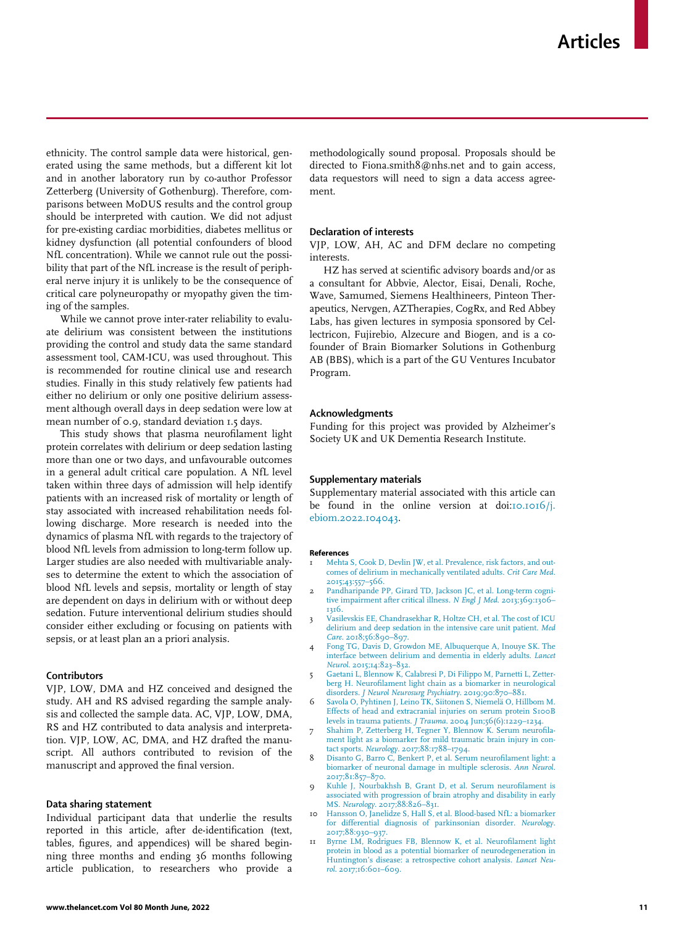ethnicity. The control sample data were historical, generated using the same methods, but a different kit lot and in another laboratory run by co-author Professor Zetterberg (University of Gothenburg). Therefore, comparisons between MoDUS results and the control group should be interpreted with caution. We did not adjust for pre-existing cardiac morbidities, diabetes mellitus or kidney dysfunction (all potential confounders of blood NfL concentration). While we cannot rule out the possibility that part of the NfL increase is the result of peripheral nerve injury it is unlikely to be the consequence of critical care polyneuropathy or myopathy given the timing of the samples.

While we cannot prove inter-rater reliability to evaluate delirium was consistent between the institutions providing the control and study data the same standard assessment tool, CAM-ICU, was used throughout. This is recommended for routine clinical use and research studies. Finally in this study relatively few patients had either no delirium or only one positive delirium assessment although overall days in deep sedation were low at mean number of 0.9, standard deviation 1.5 days.

This study shows that plasma neurofilament light protein correlates with delirium or deep sedation lasting more than one or two days, and unfavourable outcomes in a general adult critical care population. A NfL level taken within three days of admission will help identify patients with an increased risk of mortality or length of stay associated with increased rehabilitation needs following discharge. More research is needed into the dynamics of plasma NfL with regards to the trajectory of blood NfL levels from admission to long-term follow up. Larger studies are also needed with multivariable analyses to determine the extent to which the association of blood NfL levels and sepsis, mortality or length of stay are dependent on days in delirium with or without deep sedation. Future interventional delirium studies should consider either excluding or focusing on patients with sepsis, or at least plan an a priori analysis.

## <span id="page-10-2"></span><span id="page-10-1"></span><span id="page-10-0"></span>Contributors

<span id="page-10-4"></span><span id="page-10-3"></span>VJP, LOW, DMA and HZ conceived and designed the study. AH and RS advised regarding the sample analysis and collected the sample data. AC, VJP, LOW, DMA, RS and HZ contributed to data analysis and interpretation. VJP, LOW, AC, DMA, and HZ drafted the manuscript. All authors contributed to revision of the manuscript and approved the final version.

#### <span id="page-10-5"></span>Data sharing statement

Individual participant data that underlie the results reported in this article, after de-identification (text, tables, figures, and appendices) will be shared beginning three months and ending 36 months following article publication, to researchers who provide a

methodologically sound proposal. Proposals should be directed to Fiona.smith8@nhs.net and to gain access, data requestors will need to sign a data access agreement.

#### Declaration of interests

VJP, LOW, AH, AC and DFM declare no competing interests.

HZ has served at scientific advisory boards and/or as a consultant for Abbvie, Alector, Eisai, Denali, Roche, Wave, Samumed, Siemens Healthineers, Pinteon Therapeutics, Nervgen, AZTherapies, CogRx, and Red Abbey Labs, has given lectures in symposia sponsored by Cellectricon, Fujirebio, Alzecure and Biogen, and is a cofounder of Brain Biomarker Solutions in Gothenburg AB (BBS), which is a part of the GU Ventures Incubator Program.

## Acknowledgments

Funding for this project was provided by Alzheimer's Society UK and UK Dementia Research Institute.

#### Supplementary materials

Supplementary material associated with this article can be found in the online version at doi: $10.1016/j$ . [ebiom.2022.104043](https://doi.org/10.1016/j.ebiom.2022.104043).

#### References

- [Mehta S, Cook D, Devlin JW, et al. Prevalence, risk factors, and out](http://refhub.elsevier.com/S2352-3964(22)00224-9/sbref0001)[comes of delirium in mechanically ventilated adults.](http://refhub.elsevier.com/S2352-3964(22)00224-9/sbref0001) Crit Care Med. [2015;43:557–566.](http://refhub.elsevier.com/S2352-3964(22)00224-9/sbref0001)
- 2 [Pandharipande PP, Girard TD, Jackson JC, et al. Long-term cogni](http://refhub.elsevier.com/S2352-3964(22)00224-9/sbref0002)[tive impairment after critical illness.](http://refhub.elsevier.com/S2352-3964(22)00224-9/sbref0002) N Engl J Med. 2013;369:1306– [1316.](http://refhub.elsevier.com/S2352-3964(22)00224-9/sbref0002)
- 3 [Vasilevskis EE, Chandrasekhar R, Holtze CH, et al. The cost of ICU](http://refhub.elsevier.com/S2352-3964(22)00224-9/sbref0003) [delirium and deep sedation in the intensive care unit patient.](http://refhub.elsevier.com/S2352-3964(22)00224-9/sbref0003) Med Care. 2018;56:890-897.
- 4 [Fong TG, Davis D, Growdon ME, Albuquerque A, Inouye SK. The](http://refhub.elsevier.com/S2352-3964(22)00224-9/sbref0004) [interface between delirium and dementia in elderly adults.](http://refhub.elsevier.com/S2352-3964(22)00224-9/sbref0004) Lancet Neurol[. 2015;14:823–832.](http://refhub.elsevier.com/S2352-3964(22)00224-9/sbref0004)
- 5 [Gaetani L, Blennow K, Calabresi P, Di Filippo M, Parnetti L, Zetter](http://refhub.elsevier.com/S2352-3964(22)00224-9/sbref0005)[berg H. Neurofilament light chain as a biomarker in neurological](http://refhub.elsevier.com/S2352-3964(22)00224-9/sbref0005)
- disorders. [J Neurol Neurosurg Psychiatry](http://refhub.elsevier.com/S2352-3964(22)00224-9/sbref0005). 2019;90:870–881. 6 [Savola O, Pyhtinen J, Leino TK, Siitonen S, Niemel](http://refhub.elsevier.com/S2352-3964(22)00224-9/sbref0006)€a [O, Hillbom M.](http://refhub.elsevier.com/S2352-3964(22)00224-9/sbref0006) [Effects of head and extracranial injuries on serum protein S100B](http://refhub.elsevier.com/S2352-3964(22)00224-9/sbref0006) levels in trauma patients. J Trauma[. 2004 Jun;56\(6\):1229–1234.](http://refhub.elsevier.com/S2352-3964(22)00224-9/sbref0006)
- 7 [Shahim P, Zetterberg H, Tegner Y, Blennow K. Serum neurofila](http://refhub.elsevier.com/S2352-3964(22)00224-9/sbref0007)[ment light as a biomarker for mild traumatic brain injury in con](http://refhub.elsevier.com/S2352-3964(22)00224-9/sbref0007)tact sports. Neurology[. 2017;88:1788–1794.](http://refhub.elsevier.com/S2352-3964(22)00224-9/sbref0007)
- 8 [Disanto G, Barro C, Benkert P, et al. Serum neurofilament light: a](http://refhub.elsevier.com/S2352-3964(22)00224-9/sbref0008) [biomarker of neuronal damage in multiple sclerosis.](http://refhub.elsevier.com/S2352-3964(22)00224-9/sbref0008) Ann Neurol. [2017;81:857–870.](http://refhub.elsevier.com/S2352-3964(22)00224-9/sbref0008)
- 9 [Kuhle J, Nourbakhsh B, Grant D, et al. Serum neurofilament is](http://refhub.elsevier.com/S2352-3964(22)00224-9/sbref0009) [associated with progression of brain atrophy and disability in early](http://refhub.elsevier.com/S2352-3964(22)00224-9/sbref0009) MS. Neurology[. 2017;88:826–831.](http://refhub.elsevier.com/S2352-3964(22)00224-9/sbref0009)
- 10 [Hansson O, Janelidze S, Hall S, et al. Blood-based NfL: a biomarker](http://refhub.elsevier.com/S2352-3964(22)00224-9/sbref0010) [for differential diagnosis of parkinsonian disorder.](http://refhub.elsevier.com/S2352-3964(22)00224-9/sbref0010) Neurology. [2017;88:930–937.](http://refhub.elsevier.com/S2352-3964(22)00224-9/sbref0010)
- [Byrne LM, Rodrigues FB, Blennow K, et al. Neurofilament light](http://refhub.elsevier.com/S2352-3964(22)00224-9/sbref0011) [protein in blood as a potential biomarker of neurodegeneration in](http://refhub.elsevier.com/S2352-3964(22)00224-9/sbref0011) [Huntington](http://refhub.elsevier.com/S2352-3964(22)00224-9/sbref0011)'[s disease: a retrospective cohort analysis.](http://refhub.elsevier.com/S2352-3964(22)00224-9/sbref0011) Lancet Neurol[. 2017;16:601–609.](http://refhub.elsevier.com/S2352-3964(22)00224-9/sbref0011)